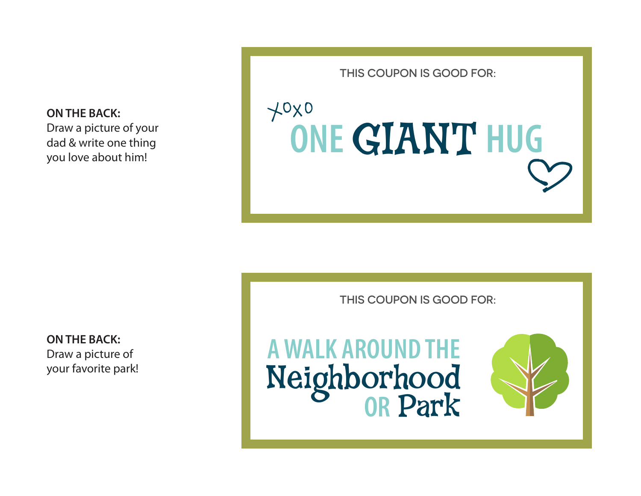**ON THE BACK:** Draw a picture of your dad & write one thing you love about him!

THIS COUPON IS GOOD FOR:

# **ONE** GIANT **HUG**

**ON THE BACK:** Draw a picture of your favorite park! THIS COUPON IS GOOD FOR:

### **A WALK AROUND THE** Neighborhood<br>OR Park

 $+0x0$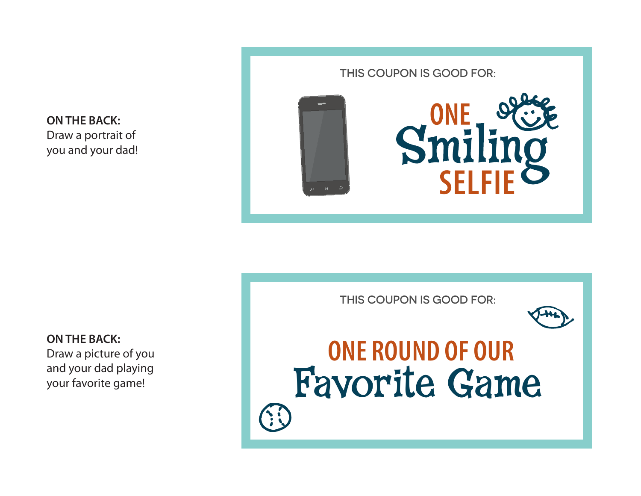**ON THE BACK:** Draw a portrait of you and your dad!

### THIS COUPON IS GOOD FOR:



THIS COUPON IS GOOD FOR:



## **ONE ROUND OF OUR** Favorite Game

**ON THE BACK:** Draw a picture of you and your dad playing your favorite game!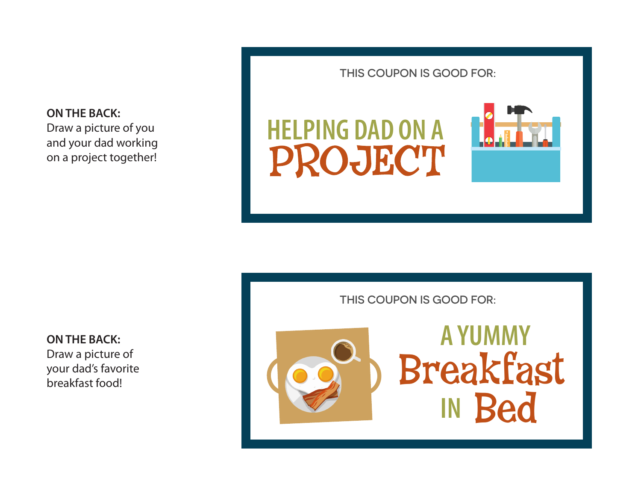**ON THE BACK:** Draw a picture of you and your dad working on a project together!

### THIS COUPON IS GOOD FOR:





**ON THE BACK:** Draw a picture of your dad's favorite

breakfast food!

THIS COUPON IS GOOD FOR:

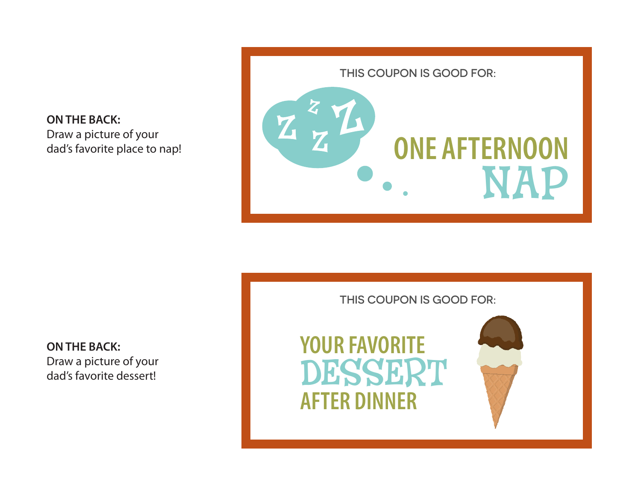**ON THE BACK:** Draw a picture of your dad's favorite place to nap!



**ON THE BACK:** Draw a picture of your dad's favorite dessert!

THIS COUPON IS GOOD FOR:

**YOUR FAVORITE AFTER DINNER** DESSERT

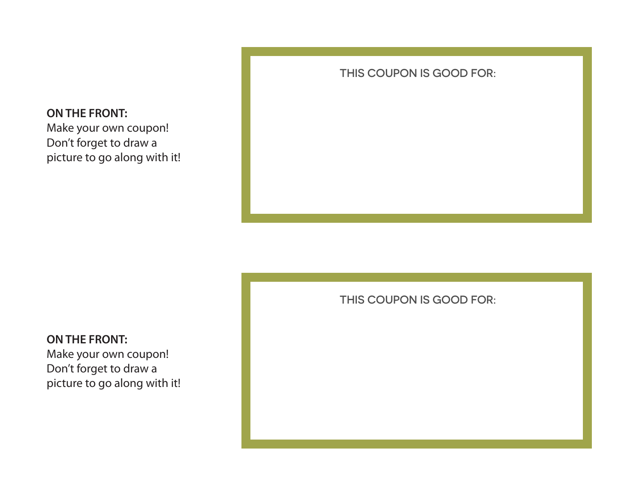

### THIS COUPON IS GOOD FOR:

THIS COUPON IS GOOD FOR:

### **ON THE FRONT:**

Make your own coupon! Don't forget to draw a picture to go along with it!